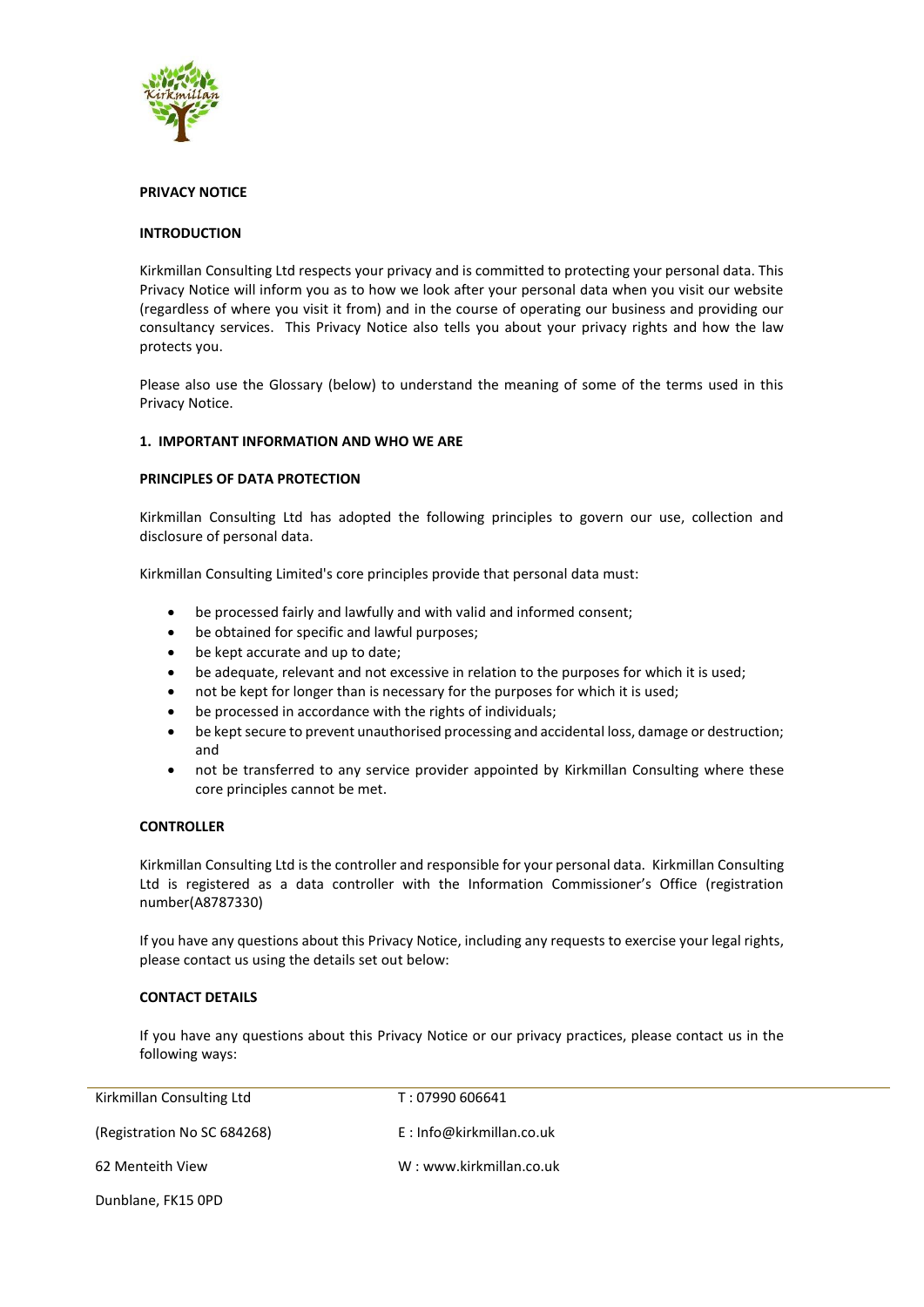

#### **PRIVACY NOTICE**

#### **INTRODUCTION**

Kirkmillan Consulting Ltd respects your privacy and is committed to protecting your personal data. This Privacy Notice will inform you as to how we look after your personal data when you visit our website (regardless of where you visit it from) and in the course of operating our business and providing our consultancy services. This Privacy Notice also tells you about your privacy rights and how the law protects you.

Please also use the Glossary (below) to understand the meaning of some of the terms used in this Privacy Notice.

## **1. IMPORTANT INFORMATION AND WHO WE ARE**

## **PRINCIPLES OF DATA PROTECTION**

Kirkmillan Consulting Ltd has adopted the following principles to govern our use, collection and disclosure of personal data.

Kirkmillan Consulting Limited's core principles provide that personal data must:

- be processed fairly and lawfully and with valid and informed consent;
- be obtained for specific and lawful purposes;
- be kept accurate and up to date;
- be adequate, relevant and not excessive in relation to the purposes for which it is used;
- not be kept for longer than is necessary for the purposes for which it is used;
- be processed in accordance with the rights of individuals;
- be kept secure to prevent unauthorised processing and accidental loss, damage or destruction; and
- not be transferred to any service provider appointed by Kirkmillan Consulting where these core principles cannot be met.

## **CONTROLLER**

Kirkmillan Consulting Ltd is the controller and responsible for your personal data. Kirkmillan Consulting Ltd is registered as a data controller with the Information Commissioner's Office (registration number(A8787330)

If you have any questions about this Privacy Notice, including any requests to exercise your legal rights, please contact us using the details set out below:

## **CONTACT DETAILS**

If you have any questions about this Privacy Notice or our privacy practices, please contact us in the following ways:

| Kirkmillan Consulting Ltd   | T: 07990 606641          |
|-----------------------------|--------------------------|
| (Registration No SC 684268) | E: Info@kirkmillan.co.uk |
| 62 Menteith View            | W: www.kirkmillan.co.uk  |
| Dunblane, FK15 OPD          |                          |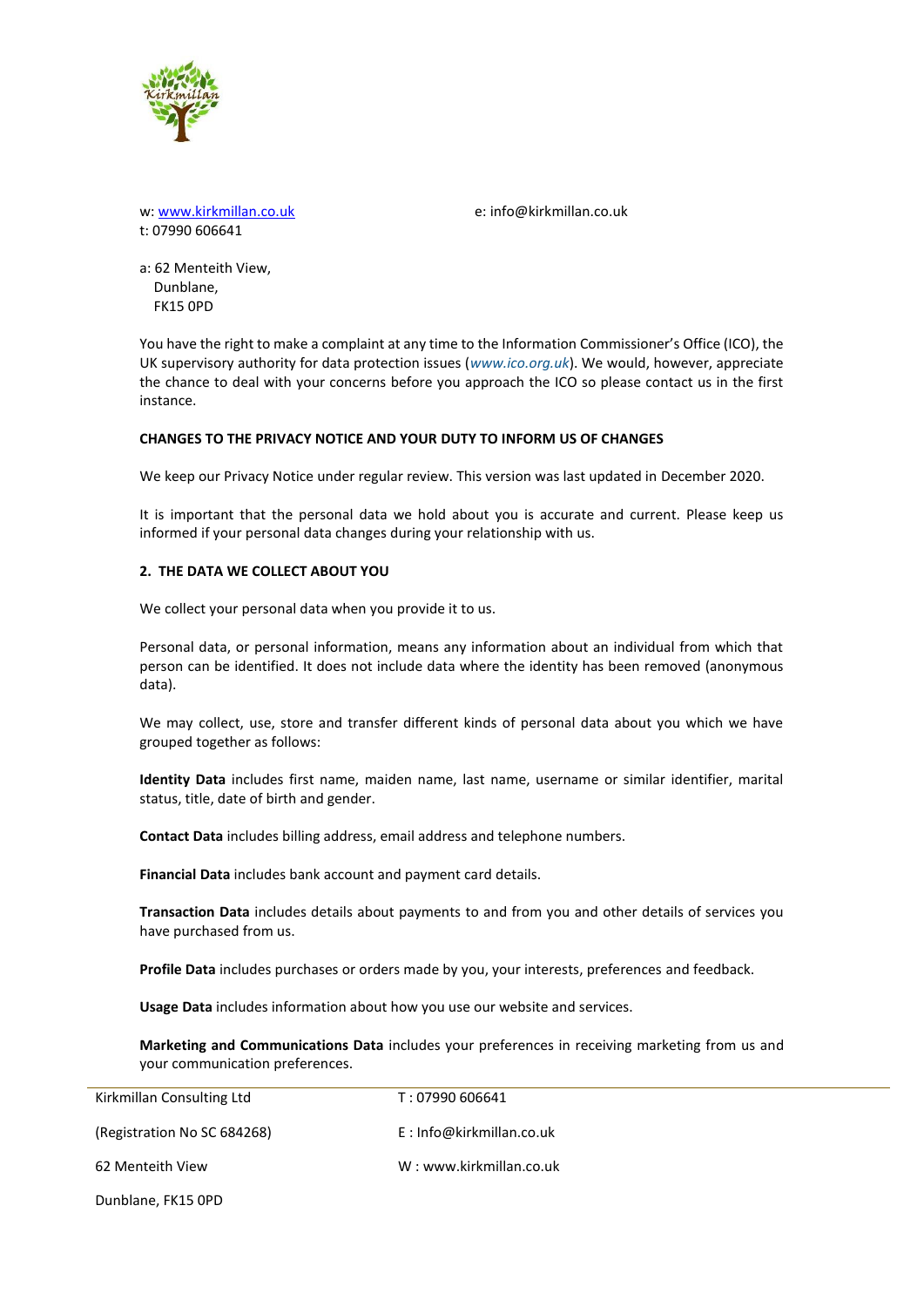

w: [www.kirkmillan.co.uk](http://www.kirkmillan.co.uk/) e: info@kirkmillan.co.uk t: 07990 606641

a: 62 Menteith View, Dunblane, FK15 0PD

You have the right to make a complaint at any time to the Information Commissioner's Office (ICO), the UK supervisory authority for data protection issues (*[www.ico.org.uk](http://www.ico.org.uk/)*). We would, however, appreciate the chance to deal with your concerns before you approach the ICO so please contact us in the first instance.

# **CHANGES TO THE PRIVACY NOTICE AND YOUR DUTY TO INFORM US OF CHANGES**

We keep our Privacy Notice under regular review. This version was last updated in December 2020.

It is important that the personal data we hold about you is accurate and current. Please keep us informed if your personal data changes during your relationship with us.

## **2. THE DATA WE COLLECT ABOUT YOU**

We collect your personal data when you provide it to us.

Personal data, or personal information, means any information about an individual from which that person can be identified. It does not include data where the identity has been removed (anonymous data).

We may collect, use, store and transfer different kinds of personal data about you which we have grouped together as follows:

**Identity Data** includes first name, maiden name, last name, username or similar identifier, marital status, title, date of birth and gender.

**Contact Data** includes billing address, email address and telephone numbers.

**Financial Data** includes bank account and payment card details.

**Transaction Data** includes details about payments to and from you and other details of services you have purchased from us.

**Profile Data** includes purchases or orders made by you, your interests, preferences and feedback.

**Usage Data** includes information about how you use our website and services.

**Marketing and Communications Data** includes your preferences in receiving marketing from us and your communication preferences.

| Kirkmillan Consulting Ltd   | T: 07990 606641          |
|-----------------------------|--------------------------|
| (Registration No SC 684268) | E: Info@kirkmillan.co.uk |
| 62 Menteith View            | W: www.kirkmillan.co.uk  |
| Dunblane, FK15 OPD          |                          |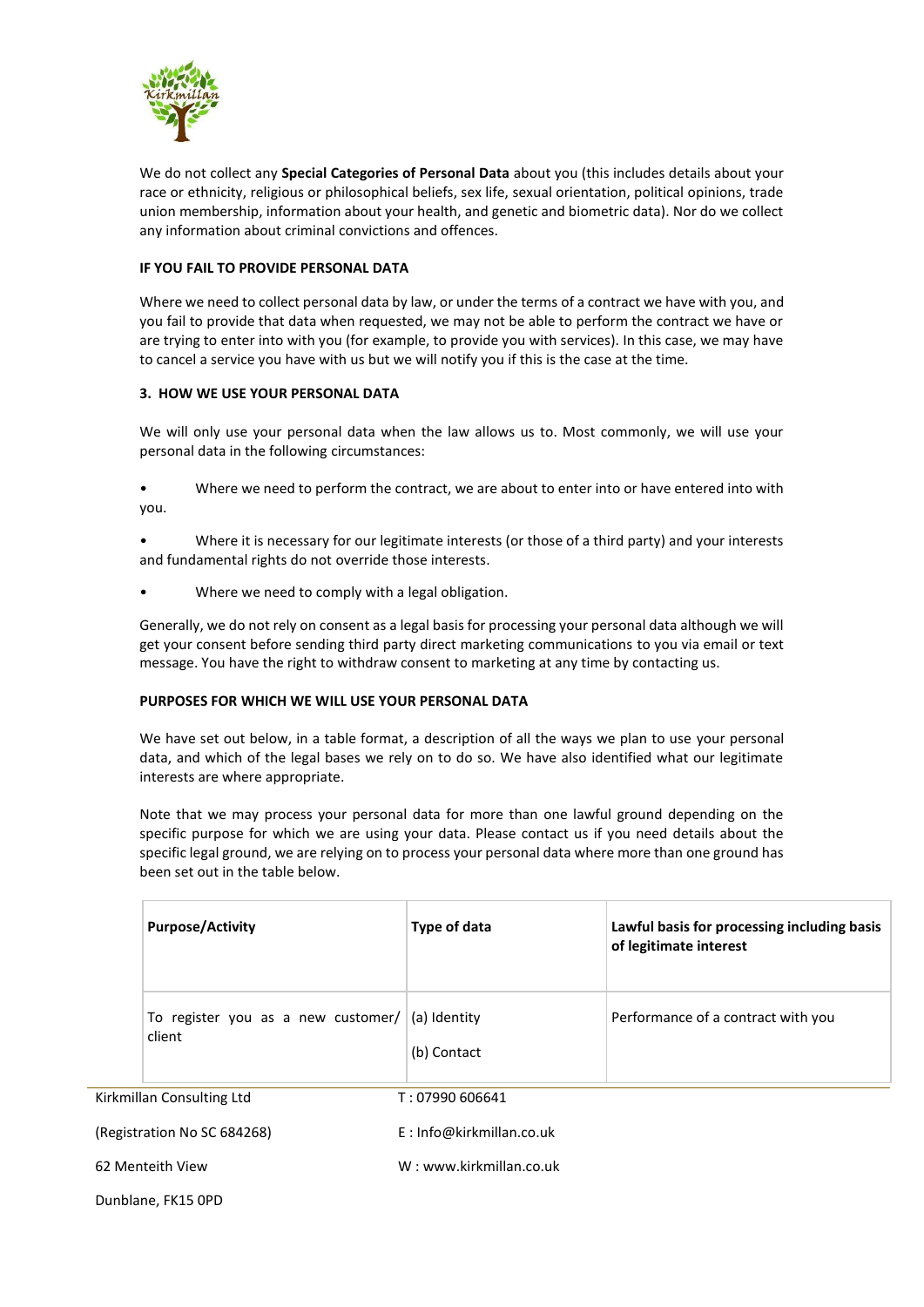

We do not collect any **Special Categories of Personal Data** about you (this includes details about your race or ethnicity, religious or philosophical beliefs, sex life, sexual orientation, political opinions, trade union membership, information about your health, and genetic and biometric data). Nor do we collect any information about criminal convictions and offences.

## **IF YOU FAIL TO PROVIDE PERSONAL DATA**

Where we need to collect personal data by law, or under the terms of a contract we have with you, and you fail to provide that data when requested, we may not be able to perform the contract we have or are trying to enter into with you (for example, to provide you with services). In this case, we may have to cancel a service you have with us but we will notify you if this is the case at the time.

## **3. HOW WE USE YOUR PERSONAL DATA**

We will only use your personal data when the law allows us to. Most commonly, we will use your personal data in the following circumstances:

Where we need to perform the contract, we are about to enter into or have entered into with you.

• Where it is necessary for our legitimate interests (or those of a third party) and your interests and fundamental rights do not override those interests.

Where we need to comply with a legal obligation.

Generally, we do not rely on consent as a legal basis for processing your personal data although we will get your consent before sending third party direct marketing communications to you via email or text message. You have the right to withdraw consent to marketing at any time by contacting us.

## **PURPOSES FOR WHICH WE WILL USE YOUR PERSONAL DATA**

We have set out below, in a table format, a description of all the ways we plan to use your personal data, and which of the legal bases we rely on to do so. We have also identified what our legitimate interests are where appropriate.

Note that we may process your personal data for more than one lawful ground depending on the specific purpose for which we are using your data. Please contact us if you need details about the specific legal ground, we are relying on to process your personal data where more than one ground has been set out in the table below.

| <b>Purpose/Activity</b>                                           | Type of data             | Lawful basis for processing including basis<br>of legitimate interest |
|-------------------------------------------------------------------|--------------------------|-----------------------------------------------------------------------|
| To register you as a new customer/ $\vert$ (a) Identity<br>client | (b) Contact              | Performance of a contract with you                                    |
| Kirkmillan Consulting Ltd                                         | T: 07990 606641          |                                                                       |
| (Registration No SC 684268)                                       | E: Info@kirkmillan.co.uk |                                                                       |
| 62 Menteith View                                                  | W: www.kirkmillan.co.uk  |                                                                       |
|                                                                   |                          |                                                                       |

Dunblane, FK15 0PD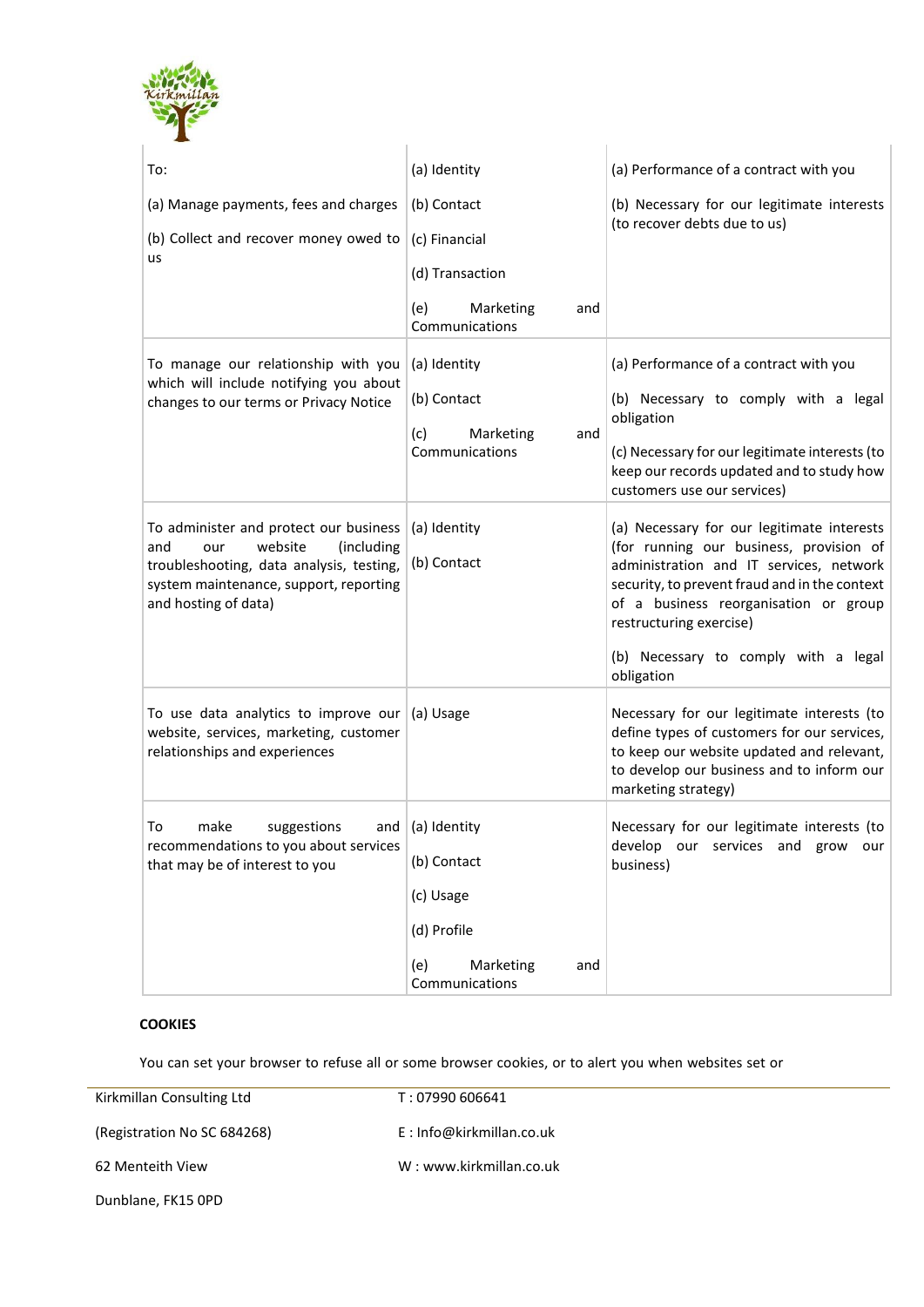

| To:                                                                                                                                                                                         | (a) Identity                                                                                               | (a) Performance of a contract with you                                                                                                                                                                                                                                                                      |
|---------------------------------------------------------------------------------------------------------------------------------------------------------------------------------------------|------------------------------------------------------------------------------------------------------------|-------------------------------------------------------------------------------------------------------------------------------------------------------------------------------------------------------------------------------------------------------------------------------------------------------------|
| (a) Manage payments, fees and charges<br>(b) Collect and recover money owed to<br>us                                                                                                        | (b) Contact<br>(c) Financial<br>(d) Transaction                                                            | (b) Necessary for our legitimate interests<br>(to recover debts due to us)                                                                                                                                                                                                                                  |
|                                                                                                                                                                                             | (e)<br>Marketing<br>and<br>Communications                                                                  |                                                                                                                                                                                                                                                                                                             |
| To manage our relationship with you<br>which will include notifying you about<br>changes to our terms or Privacy Notice                                                                     | (a) Identity<br>(b) Contact<br>(c)<br>Marketing<br>and<br>Communications                                   | (a) Performance of a contract with you<br>(b) Necessary to comply with a legal<br>obligation<br>(c) Necessary for our legitimate interests (to<br>keep our records updated and to study how<br>customers use our services)                                                                                  |
| To administer and protect our business<br>website<br>and<br>(including<br>our<br>troubleshooting, data analysis, testing,<br>system maintenance, support, reporting<br>and hosting of data) | (a) Identity<br>(b) Contact                                                                                | (a) Necessary for our legitimate interests<br>(for running our business, provision of<br>administration and IT services, network<br>security, to prevent fraud and in the context<br>of a business reorganisation or group<br>restructuring exercise)<br>(b) Necessary to comply with a legal<br>obligation |
| To use data analytics to improve our $\vert$ (a) Usage<br>website, services, marketing, customer<br>relationships and experiences                                                           |                                                                                                            | Necessary for our legitimate interests (to<br>define types of customers for our services,<br>to keep our website updated and relevant,<br>to develop our business and to inform our<br>marketing strategy)                                                                                                  |
| make<br>suggestions<br>To<br>recommendations to you about services<br>that may be of interest to you                                                                                        | and $(a)$ Identity<br>(b) Contact<br>(c) Usage<br>(d) Profile<br>Marketing<br>(e)<br>and<br>Communications | Necessary for our legitimate interests (to<br>develop our services and grow our<br>business)                                                                                                                                                                                                                |

Î.

## **COOKIES**

You can set your browser to refuse all or some browser cookies, or to alert you when websites set or

| Kirkmillan Consulting Ltd   | T:07990 606641           |
|-----------------------------|--------------------------|
| (Registration No SC 684268) | E: Info@kirkmillan.co.uk |
| 62 Menteith View            | W: www.kirkmillan.co.uk  |
| Dunblane, FK15 OPD          |                          |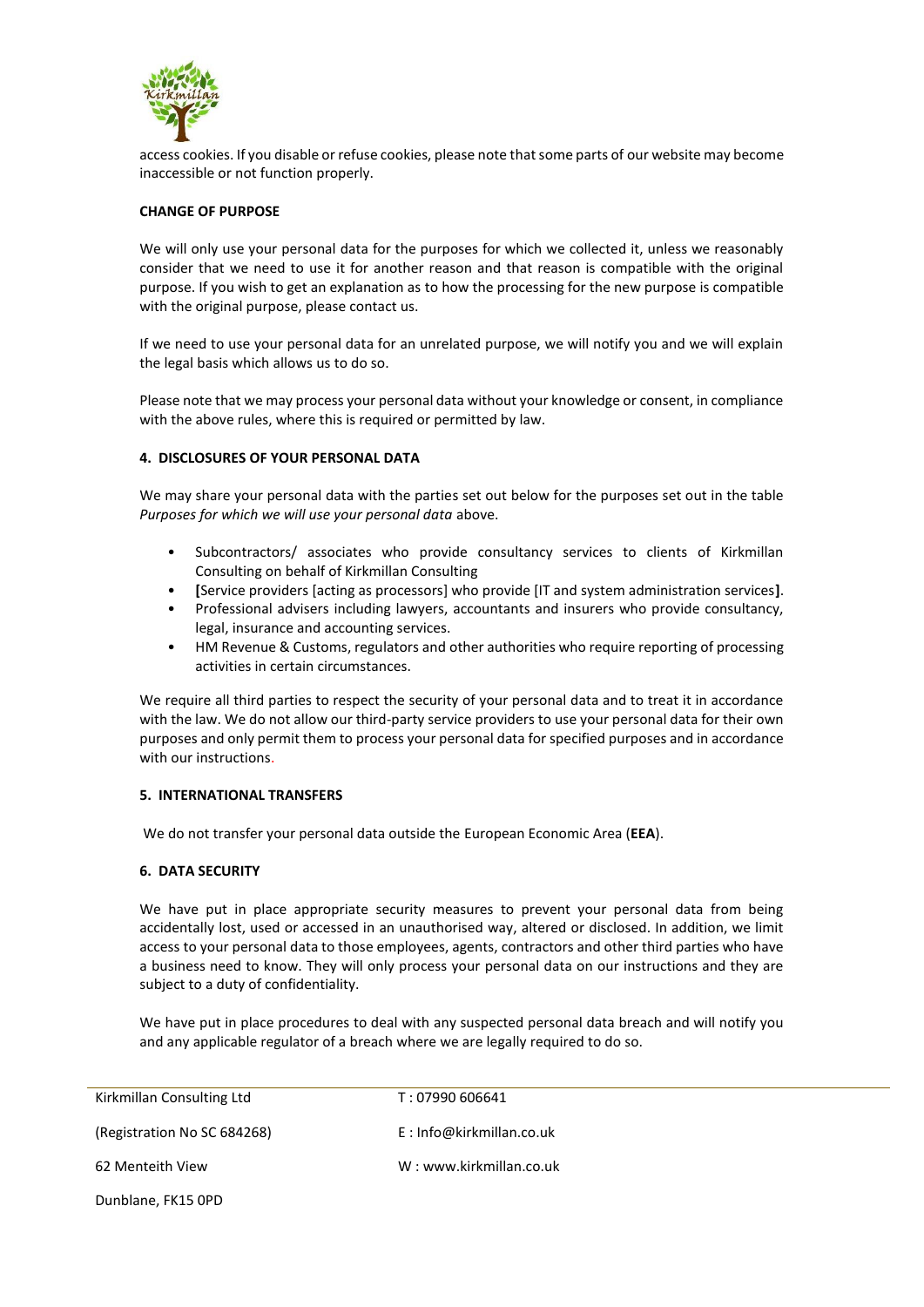

access cookies. If you disable or refuse cookies, please note that some parts of our website may become inaccessible or not function properly.

## **CHANGE OF PURPOSE**

We will only use your personal data for the purposes for which we collected it, unless we reasonably consider that we need to use it for another reason and that reason is compatible with the original purpose. If you wish to get an explanation as to how the processing for the new purpose is compatible with the original purpose, please contact us.

If we need to use your personal data for an unrelated purpose, we will notify you and we will explain the legal basis which allows us to do so.

Please note that we may process your personal data without your knowledge or consent, in compliance with the above rules, where this is required or permitted by law.

## **4. DISCLOSURES OF YOUR PERSONAL DATA**

We may share your personal data with the parties set out below for the purposes set out in the table *Purposes for which we will use your personal data* above.

- Subcontractors/ associates who provide consultancy services to clients of Kirkmillan Consulting on behalf of Kirkmillan Consulting
- **[**Service providers [acting as processors] who provide [IT and system administration services**]**.
- Professional advisers including lawyers, accountants and insurers who provide consultancy, legal, insurance and accounting services.
- HM Revenue & Customs, regulators and other authorities who require reporting of processing activities in certain circumstances.

We require all third parties to respect the security of your personal data and to treat it in accordance with the law. We do not allow our third-party service providers to use your personal data for their own purposes and only permit them to process your personal data for specified purposes and in accordance with our instructions.

## **5. INTERNATIONAL TRANSFERS**

We do not transfer your personal data outside the European Economic Area (**EEA**).

## **6. DATA SECURITY**

We have put in place appropriate security measures to prevent your personal data from being accidentally lost, used or accessed in an unauthorised way, altered or disclosed. In addition, we limit access to your personal data to those employees, agents, contractors and other third parties who have a business need to know. They will only process your personal data on our instructions and they are subject to a duty of confidentiality.

We have put in place procedures to deal with any suspected personal data breach and will notify you and any applicable regulator of a breach where we are legally required to do so.

| Kirkmillan Consulting Ltd   | T: 07990 606641          |
|-----------------------------|--------------------------|
| (Registration No SC 684268) | E: Info@kirkmillan.co.uk |
| 62 Menteith View            | W: www.kirkmillan.co.uk  |
| Dunblane, FK15 OPD          |                          |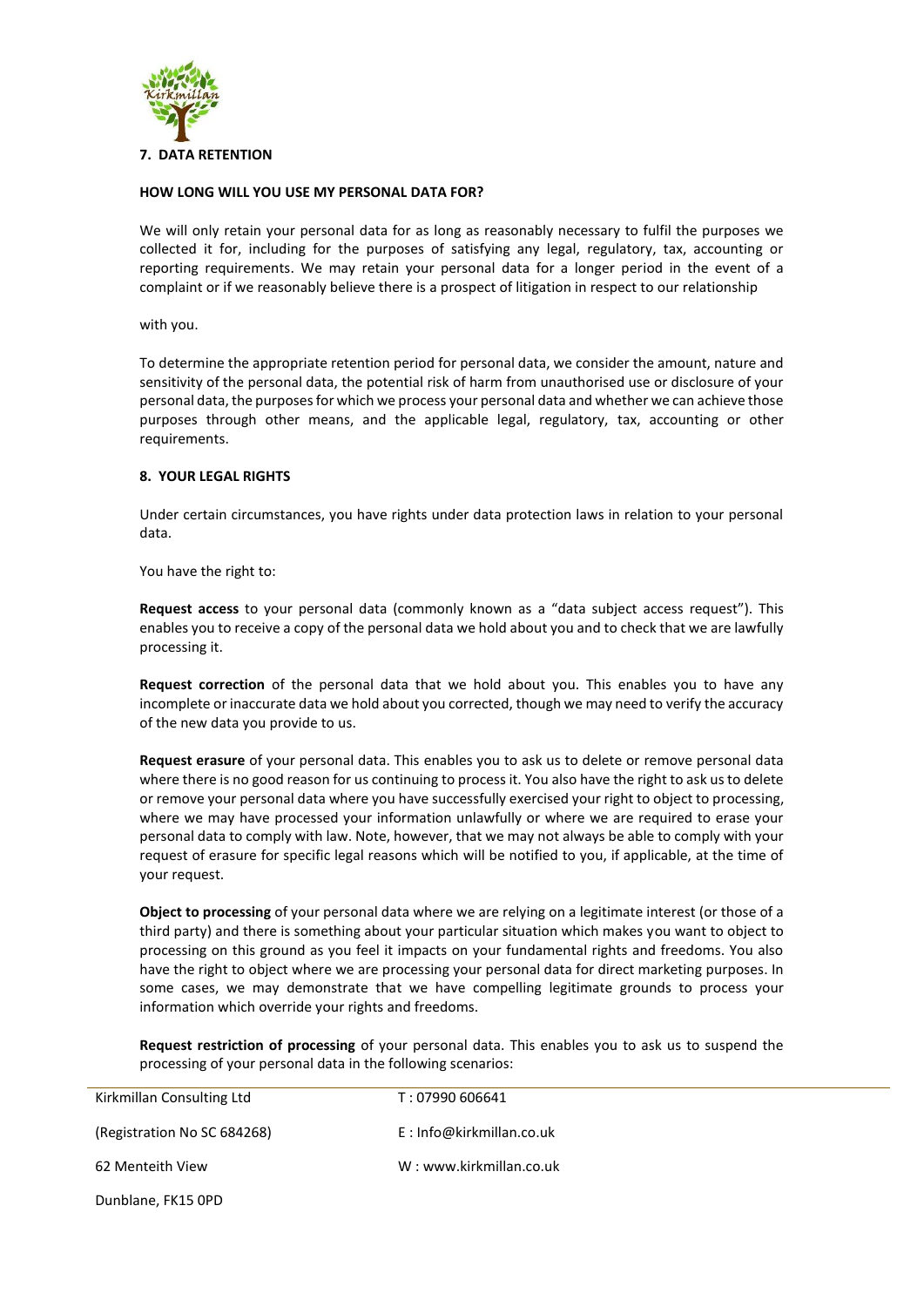

#### **HOW LONG WILL YOU USE MY PERSONAL DATA FOR?**

We will only retain your personal data for as long as reasonably necessary to fulfil the purposes we collected it for, including for the purposes of satisfying any legal, regulatory, tax, accounting or reporting requirements. We may retain your personal data for a longer period in the event of a complaint or if we reasonably believe there is a prospect of litigation in respect to our relationship

with you.

To determine the appropriate retention period for personal data, we consider the amount, nature and sensitivity of the personal data, the potential risk of harm from unauthorised use or disclosure of your personal data, the purposes for which we process your personal data and whether we can achieve those purposes through other means, and the applicable legal, regulatory, tax, accounting or other requirements.

#### **8. YOUR LEGAL RIGHTS**

Under certain circumstances, you have rights under data protection laws in relation to your personal data.

You have the right to:

**Request access** to your personal data (commonly known as a "data subject access request"). This enables you to receive a copy of the personal data we hold about you and to check that we are lawfully processing it.

**Request correction** of the personal data that we hold about you. This enables you to have any incomplete or inaccurate data we hold about you corrected, though we may need to verify the accuracy of the new data you provide to us.

**Request erasure** of your personal data. This enables you to ask us to delete or remove personal data where there is no good reason for us continuing to process it. You also have the right to ask us to delete or remove your personal data where you have successfully exercised your right to object to processing, where we may have processed your information unlawfully or where we are required to erase your personal data to comply with law. Note, however, that we may not always be able to comply with your request of erasure for specific legal reasons which will be notified to you, if applicable, at the time of your request.

**Object to processing** of your personal data where we are relying on a legitimate interest (or those of a third party) and there is something about your particular situation which makes you want to object to processing on this ground as you feel it impacts on your fundamental rights and freedoms. You also have the right to object where we are processing your personal data for direct marketing purposes. In some cases, we may demonstrate that we have compelling legitimate grounds to process your information which override your rights and freedoms.

**Request restriction of processing** of your personal data. This enables you to ask us to suspend the processing of your personal data in the following scenarios:

| Kirkmillan Consulting Ltd   | T: 07990 606641            |
|-----------------------------|----------------------------|
| (Registration No SC 684268) | $E:$ Info@kirkmillan.co.uk |
| 62 Menteith View            | W: www.kirkmillan.co.uk    |
| Dunblane, FK15 OPD          |                            |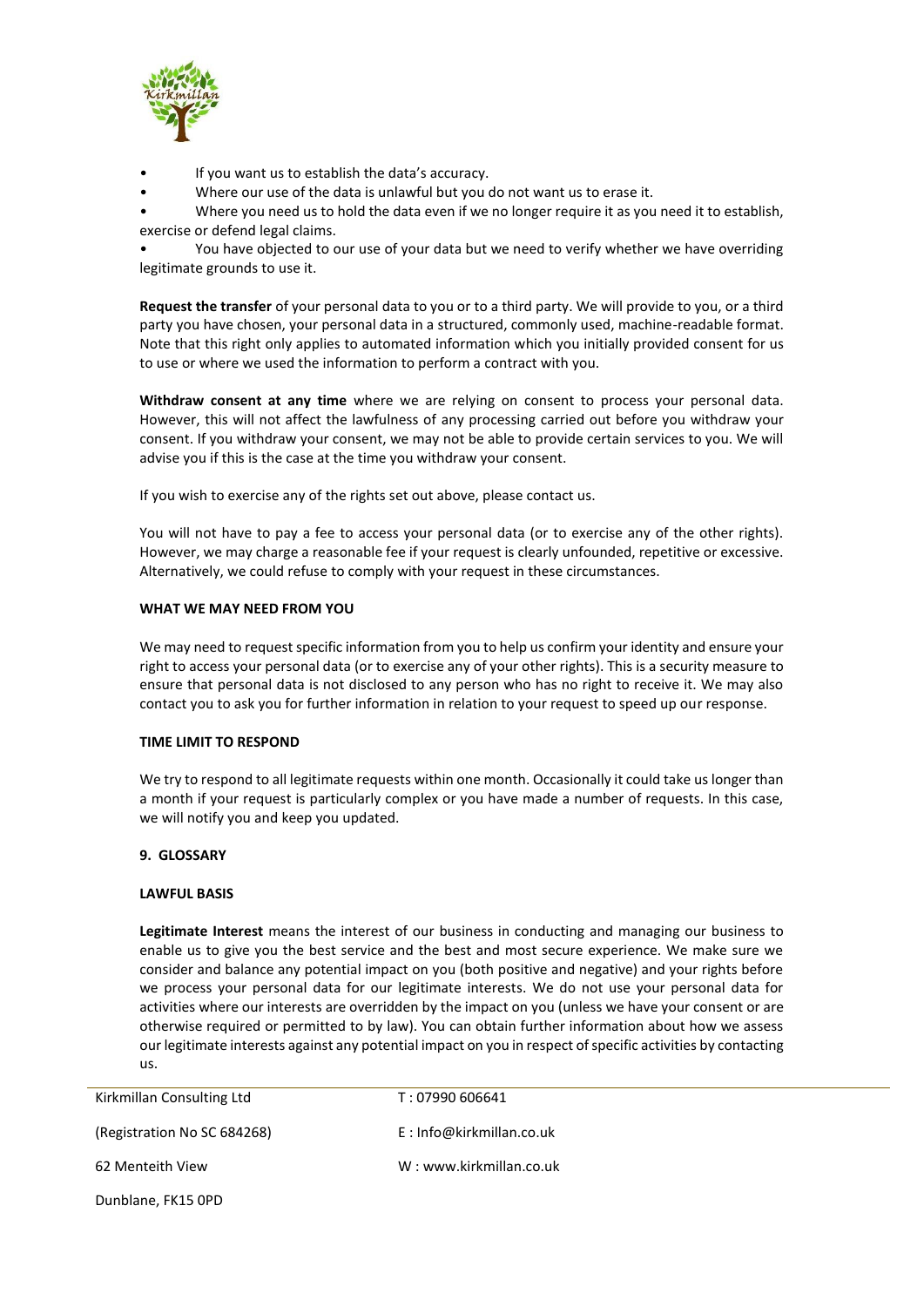

- If you want us to establish the data's accuracy.
- Where our use of the data is unlawful but you do not want us to erase it.

• Where you need us to hold the data even if we no longer require it as you need it to establish, exercise or defend legal claims.

• You have objected to our use of your data but we need to verify whether we have overriding legitimate grounds to use it.

**Request the transfer** of your personal data to you or to a third party. We will provide to you, or a third party you have chosen, your personal data in a structured, commonly used, machine-readable format. Note that this right only applies to automated information which you initially provided consent for us to use or where we used the information to perform a contract with you.

**Withdraw consent at any time** where we are relying on consent to process your personal data. However, this will not affect the lawfulness of any processing carried out before you withdraw your consent. If you withdraw your consent, we may not be able to provide certain services to you. We will advise you if this is the case at the time you withdraw your consent.

If you wish to exercise any of the rights set out above, please contact us.

You will not have to pay a fee to access your personal data (or to exercise any of the other rights). However, we may charge a reasonable fee if your request is clearly unfounded, repetitive or excessive. Alternatively, we could refuse to comply with your request in these circumstances.

## **WHAT WE MAY NEED FROM YOU**

We may need to request specific information from you to help us confirm your identity and ensure your right to access your personal data (or to exercise any of your other rights). This is a security measure to ensure that personal data is not disclosed to any person who has no right to receive it. We may also contact you to ask you for further information in relation to your request to speed up our response.

## **TIME LIMIT TO RESPOND**

We try to respond to all legitimate requests within one month. Occasionally it could take us longer than a month if your request is particularly complex or you have made a number of requests. In this case, we will notify you and keep you updated.

## **9. GLOSSARY**

## **LAWFUL BASIS**

**Legitimate Interest** means the interest of our business in conducting and managing our business to enable us to give you the best service and the best and most secure experience. We make sure we consider and balance any potential impact on you (both positive and negative) and your rights before we process your personal data for our legitimate interests. We do not use your personal data for activities where our interests are overridden by the impact on you (unless we have your consent or are otherwise required or permitted to by law). You can obtain further information about how we assess our legitimate interests against any potential impact on you in respect of specific activities by contacting us.

| Kirkmillan Consulting Ltd   | T: 07990 606641          |
|-----------------------------|--------------------------|
| (Registration No SC 684268) | E: Info@kirkmillan.co.uk |
| 62 Menteith View            | W: www.kirkmillan.co.uk  |
| Dunblane, FK15 OPD          |                          |